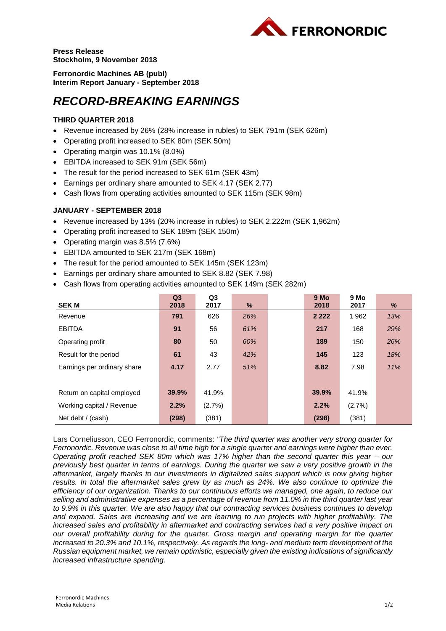

**Press Release Stockholm, 9 November 2018**

**Ferronordic Machines AB (publ) Interim Report January - September 2018**

# *RECORD-BREAKING EARNINGS*

## **THIRD QUARTER 2018**

- Revenue increased by 26% (28% increase in rubles) to SEK 791m (SEK 626m)
- Operating profit increased to SEK 80m (SEK 50m)
- Operating margin was 10.1% (8.0%)
- EBITDA increased to SEK 91m (SEK 56m)
- The result for the period increased to SEK 61m (SEK 43m)
- Earnings per ordinary share amounted to SEK 4.17 (SEK 2.77)
- Cash flows from operating activities amounted to SEK 115m (SEK 98m)

### **JANUARY - SEPTEMBER 2018**

- Revenue increased by 13% (20% increase in rubles) to SEK 2,222m (SEK 1,962m)
- Operating profit increased to SEK 189m (SEK 150m)
- Operating margin was 8.5% (7.6%)
- EBITDA amounted to SEK 217m (SEK 168m)
- The result for the period amounted to SEK 145m (SEK 123m)
- Earnings per ordinary share amounted to SEK 8.82 (SEK 7.98)
- Cash flows from operating activities amounted to SEK 149m (SEK 282m)

|                             | Q <sub>3</sub> | Q3        |     | 9 Mo      | 9 Mo   |     |
|-----------------------------|----------------|-----------|-----|-----------|--------|-----|
| <b>SEK M</b>                | 2018           | 2017      | %   | 2018      | 2017   | %   |
| Revenue                     | 791            | 626       | 26% | 2 2 2 2 2 | 1962   | 13% |
| <b>EBITDA</b>               | 91             | 56        | 61% | 217       | 168    | 29% |
| Operating profit            | 80             | 50        | 60% | 189       | 150    | 26% |
| Result for the period       | 61             | 43        | 42% | 145       | 123    | 18% |
| Earnings per ordinary share | 4.17           | 2.77      | 51% | 8.82      | 7.98   | 11% |
|                             |                |           |     |           |        |     |
| Return on capital employed  | 39.9%          | 41.9%     |     | 39.9%     | 41.9%  |     |
| Working capital / Revenue   | 2.2%           | $(2.7\%)$ |     | 2.2%      | (2.7%) |     |
| Net debt / (cash)           | (298)          | (381)     |     | (298)     | (381)  |     |

Lars Corneliusson, CEO Ferronordic, comments: *"The third quarter was another very strong quarter for Ferronordic. Revenue was close to all time high for a single quarter and earnings were higher than ever. Operating profit reached SEK 80m which was 17% higher than the second quarter this year – our previously best quarter in terms of earnings. During the quarter we saw a very positive growth in the aftermarket, largely thanks to our investments in digitalized sales support which is now giving higher results. In total the aftermarket sales grew by as much as 24%. We also continue to optimize the efficiency of our organization. Thanks to our continuous efforts we managed, one again, to reduce our selling and administrative expenses as a percentage of revenue from 11.0% in the third quarter last year to 9.9% in this quarter. We are also happy that our contracting services business continues to develop and expand. Sales are increasing and we are learning to run projects with higher profitability. The increased sales and profitability in aftermarket and contracting services had a very positive impact on our overall profitability during for the quarter. Gross margin and operating margin for the quarter increased to 20.3% and 10.1%, respectively. As regards the long- and medium term development of the Russian equipment market, we remain optimistic, especially given the existing indications of significantly increased infrastructure spending.*